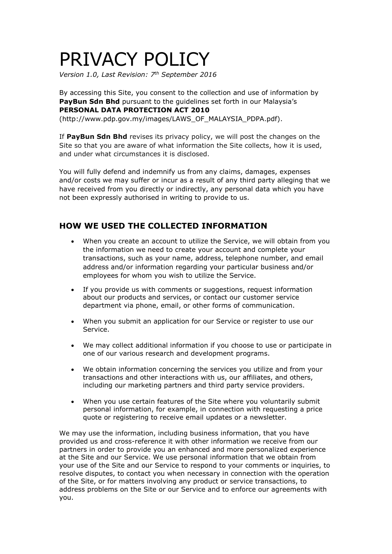# PRIVACY POLICY

*Version 1.0, Last Revision: 7th September 2016*

By accessing this Site, you consent to the collection and use of information by **PayBun Sdn Bhd** pursuant to the guidelines set forth in our Malaysia's **PERSONAL DATA PROTECTION ACT 2010** (http://www.pdp.gov.my/images/LAWS\_OF\_MALAYSIA\_PDPA.pdf).

If **PayBun Sdn Bhd** revises its privacy policy, we will post the changes on the Site so that you are aware of what information the Site collects, how it is used, and under what circumstances it is disclosed.

You will fully defend and indemnify us from any claims, damages, expenses and/or costs we may suffer or incur as a result of any third party alleging that we have received from you directly or indirectly, any personal data which you have not been expressly authorised in writing to provide to us.

## **HOW WE USED THE COLLECTED INFORMATION**

- When you create an account to utilize the Service, we will obtain from you the information we need to create your account and complete your transactions, such as your name, address, telephone number, and email address and/or information regarding your particular business and/or employees for whom you wish to utilize the Service.
- If you provide us with comments or suggestions, request information about our products and services, or contact our customer service department via phone, email, or other forms of communication.
- When you submit an application for our Service or register to use our Service.
- We may collect additional information if you choose to use or participate in one of our various research and development programs.
- We obtain information concerning the services you utilize and from your transactions and other interactions with us, our affiliates, and others, including our marketing partners and third party service providers.
- When you use certain features of the Site where you voluntarily submit personal information, for example, in connection with requesting a price quote or registering to receive email updates or a newsletter.

We may use the information, including business information, that you have provided us and cross-reference it with other information we receive from our partners in order to provide you an enhanced and more personalized experience at the Site and our Service. We use personal information that we obtain from your use of the Site and our Service to respond to your comments or inquiries, to resolve disputes, to contact you when necessary in connection with the operation of the Site, or for matters involving any product or service transactions, to address problems on the Site or our Service and to enforce our agreements with you.